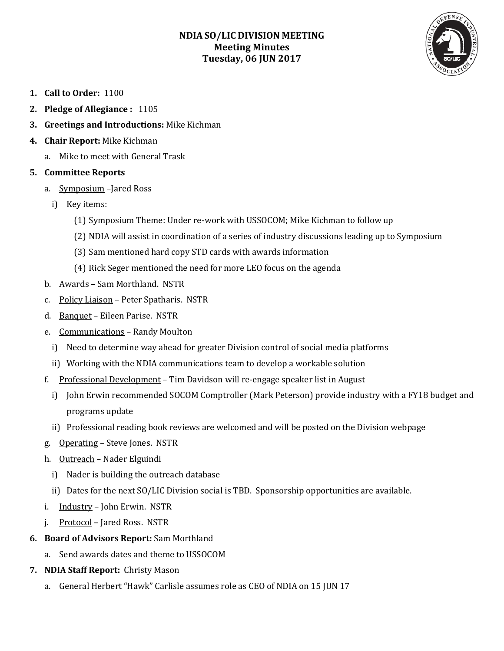## **NDIA SO/LIC DIVISION MEETING Meeting Minutes Tuesday, 06 JUN 2017**



- **1. Call to Order:** 1100
- **2. Pledge of Allegiance :** 1105
- **3. Greetings and Introductions:** Mike Kichman
- **4. Chair Report:** Mike Kichman
	- a. Mike to meet with General Trask

## **5. Committee Reports**

- a. Symposium –Jared Ross
	- i) Key items:
		- (1) Symposium Theme: Under re-work with USSOCOM; Mike Kichman to follow up
		- (2) NDIA will assist in coordination of a series of industry discussions leading up to Symposium
		- (3) Sam mentioned hard copy STD cards with awards information
		- (4) Rick Seger mentioned the need for more LEO focus on the agenda
- b. Awards Sam Morthland. NSTR
- c. Policy Liaison Peter Spatharis. NSTR
- d. Banquet Eileen Parise. NSTR
- e. Communications Randy Moulton
	- i) Need to determine way ahead for greater Division control of social media platforms
	- ii) Working with the NDIA communications team to develop a workable solution
- f. Professional Development Tim Davidson will re-engage speaker list in August
	- i) John Erwin recommended SOCOM Comptroller (Mark Peterson) provide industry with a FY18 budget and programs update
	- ii) Professional reading book reviews are welcomed and will be posted on the Division webpage
- g. Operating Steve Jones. NSTR
- h. Outreach Nader Elguindi
	- i) Nader is building the outreach database
	- ii) Dates for the next SO/LIC Division social is TBD. Sponsorship opportunities are available.
- i. Industry John Erwin. NSTR
- j. Protocol Jared Ross. NSTR
- **6. Board of Advisors Report:** Sam Morthland
	- a. Send awards dates and theme to USSOCOM
- **7. NDIA Staff Report:** Christy Mason
	- a. General Herbert "Hawk" Carlisle assumes role as CEO of NDIA on 15 JUN 17